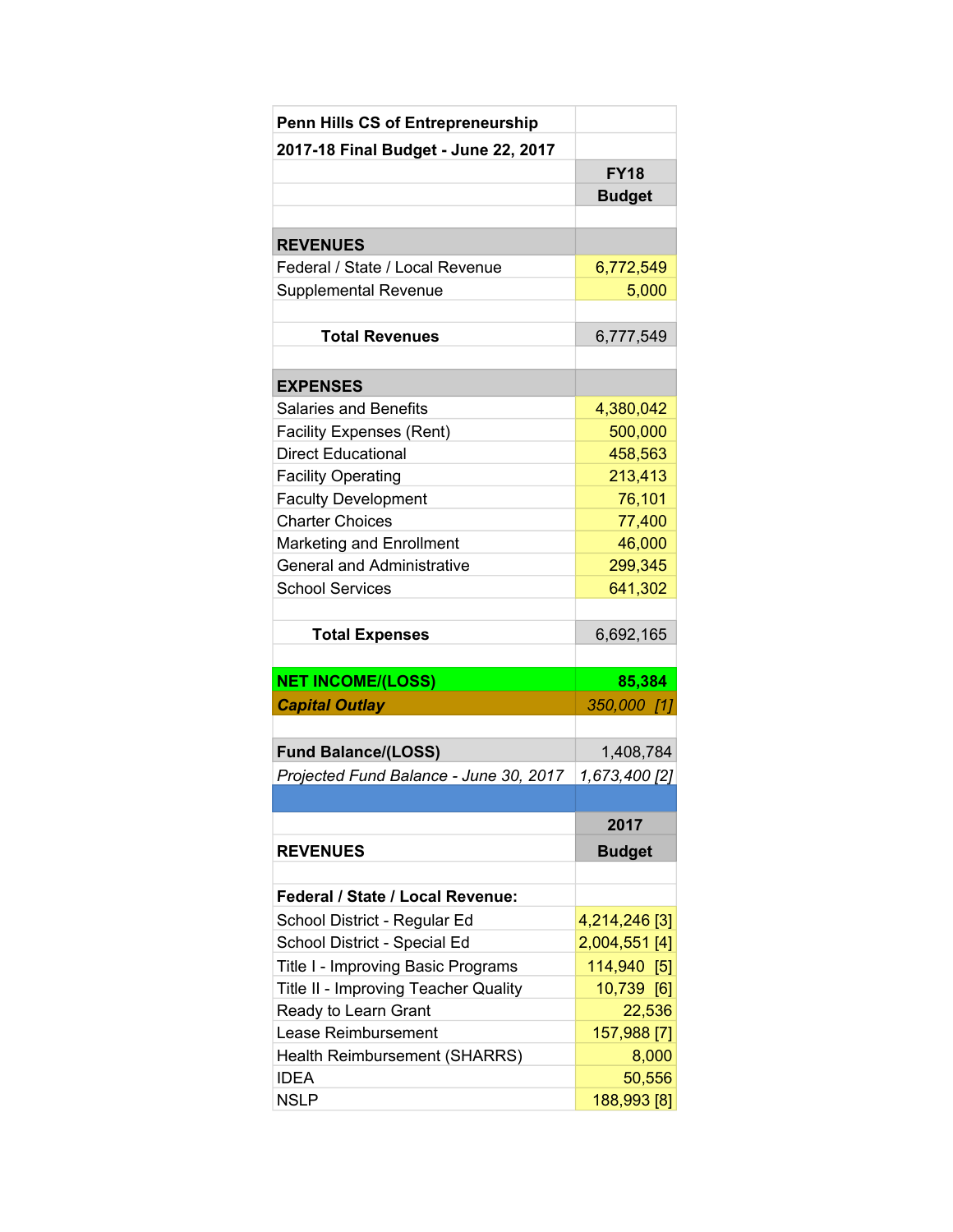| <b>Penn Hills CS of Entrepreneurship</b> |               |
|------------------------------------------|---------------|
| 2017-18 Final Budget - June 22, 2017     |               |
|                                          | <b>FY18</b>   |
|                                          | <b>Budget</b> |
|                                          |               |
| <b>REVENUES</b>                          |               |
| Federal / State / Local Revenue          | 6,772,549     |
| Supplemental Revenue                     | 5,000         |
|                                          |               |
| <b>Total Revenues</b>                    | 6,777,549     |
|                                          |               |
| <b>EXPENSES</b>                          |               |
| <b>Salaries and Benefits</b>             | 4,380,042     |
| <b>Facility Expenses (Rent)</b>          | 500,000       |
| <b>Direct Educational</b>                | 458,563       |
| <b>Facility Operating</b>                | 213,413       |
| <b>Faculty Development</b>               | 76,101        |
| <b>Charter Choices</b>                   | 77,400        |
| <b>Marketing and Enrollment</b>          | 46,000        |
| <b>General and Administrative</b>        | 299,345       |
| <b>School Services</b>                   | 641,302       |
| <b>Total Expenses</b>                    | 6,692,165     |
|                                          |               |
| <b>NET INCOME/(LOSS)</b>                 | 85,384        |
| <b>Capital Outlay</b>                    | 350,000 [1]   |
|                                          |               |
| <b>Fund Balance/(LOSS)</b>               | 1,408,784     |
| Projected Fund Balance - June 30, 2017   | 1,673,400 [2] |
|                                          |               |
|                                          | 2017          |
| <b>REVENUES</b>                          | <b>Budget</b> |
|                                          |               |
| <b>Federal / State / Local Revenue:</b>  |               |
| School District - Regular Ed             | 4,214,246 [3] |
| School District - Special Ed             | 2,004,551 [4] |
| Title I - Improving Basic Programs       | 114,940 [5]   |
| Title II - Improving Teacher Quality     | 10,739 [6]    |
| Ready to Learn Grant                     | 22,536        |
| Lease Reimbursement                      | 157,988 [7]   |
| Health Reimbursement (SHARRS)            | 8,000         |
| <b>IDEA</b>                              | 50,556        |
| <b>NSLP</b>                              | 188,993 [8]   |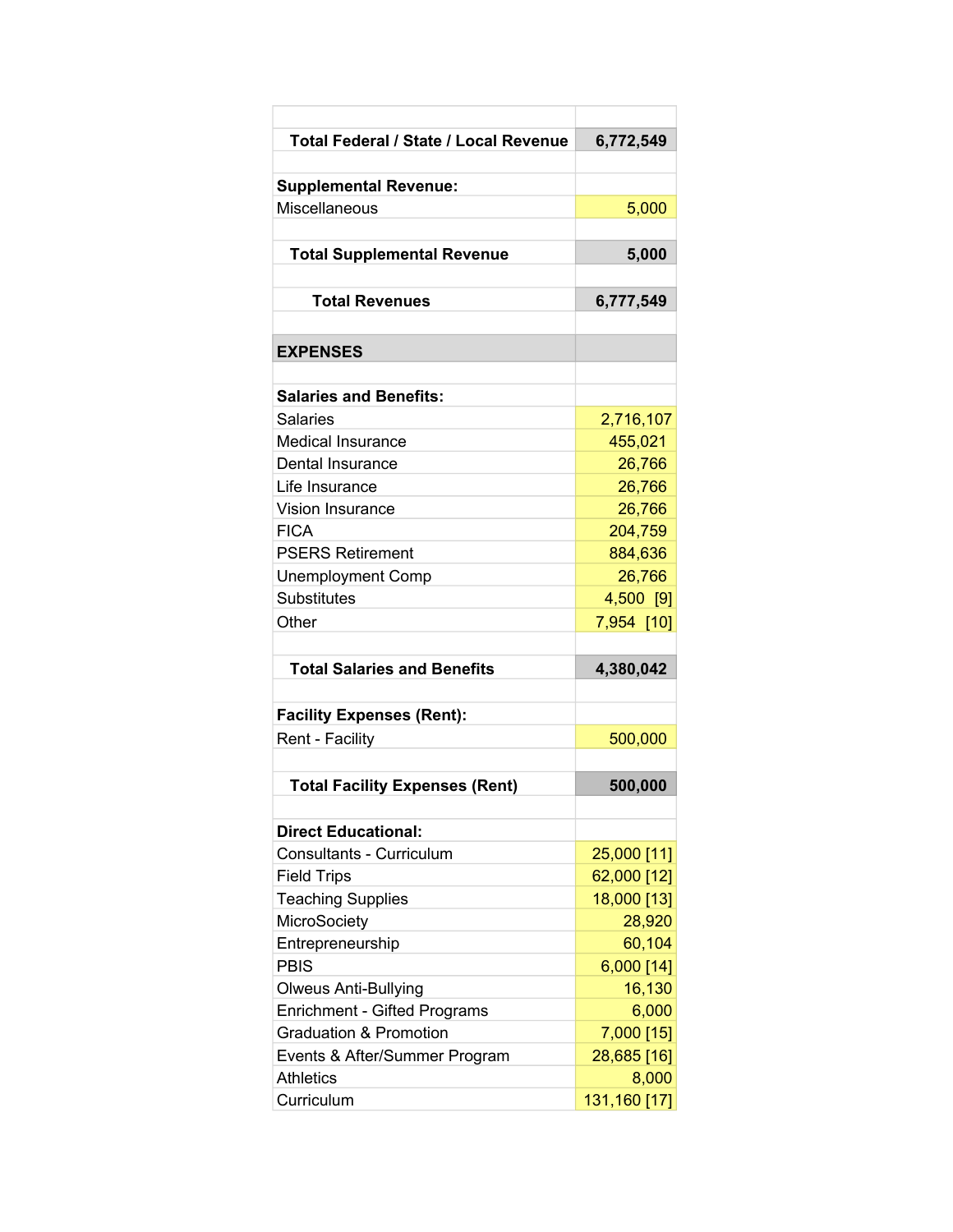| Total Federal / State / Local Revenue | 6,772,549    |
|---------------------------------------|--------------|
|                                       |              |
| <b>Supplemental Revenue:</b>          |              |
| Miscellaneous                         | 5,000        |
|                                       |              |
| <b>Total Supplemental Revenue</b>     | 5,000        |
|                                       |              |
| <b>Total Revenues</b>                 | 6,777,549    |
| <b>EXPENSES</b>                       |              |
|                                       |              |
| <b>Salaries and Benefits:</b>         |              |
| Salaries                              | 2,716,107    |
| <b>Medical Insurance</b>              | 455,021      |
| Dental Insurance                      | 26,766       |
| Life Insurance                        | 26,766       |
| <b>Vision Insurance</b>               | 26,766       |
| <b>FICA</b>                           | 204,759      |
| <b>PSERS Retirement</b>               | 884,636      |
| <b>Unemployment Comp</b>              | 26,766       |
| Substitutes                           | 4,500 [9]    |
| Other                                 | 7,954 [10]   |
|                                       |              |
| <b>Total Salaries and Benefits</b>    | 4,380,042    |
| <b>Facility Expenses (Rent):</b>      |              |
| Rent - Facility                       | 500,000      |
|                                       |              |
| <b>Total Facility Expenses (Rent)</b> | 500,000      |
|                                       |              |
| <b>Direct Educational:</b>            |              |
| <b>Consultants - Curriculum</b>       | 25,000 [11]  |
| <b>Field Trips</b>                    | 62,000 [12]  |
| <b>Teaching Supplies</b>              | 18,000 [13]  |
| MicroSociety                          | 28,920       |
| Entrepreneurship                      | 60,104       |
| <b>PBIS</b>                           | 6,000 [14]   |
| <b>Olweus Anti-Bullying</b>           | 16,130       |
| <b>Enrichment - Gifted Programs</b>   | 6,000        |
| <b>Graduation &amp; Promotion</b>     | 7,000 [15]   |
| Events & After/Summer Program         | 28,685 [16]  |
| <b>Athletics</b>                      | 8,000        |
| Curriculum                            | 131,160 [17] |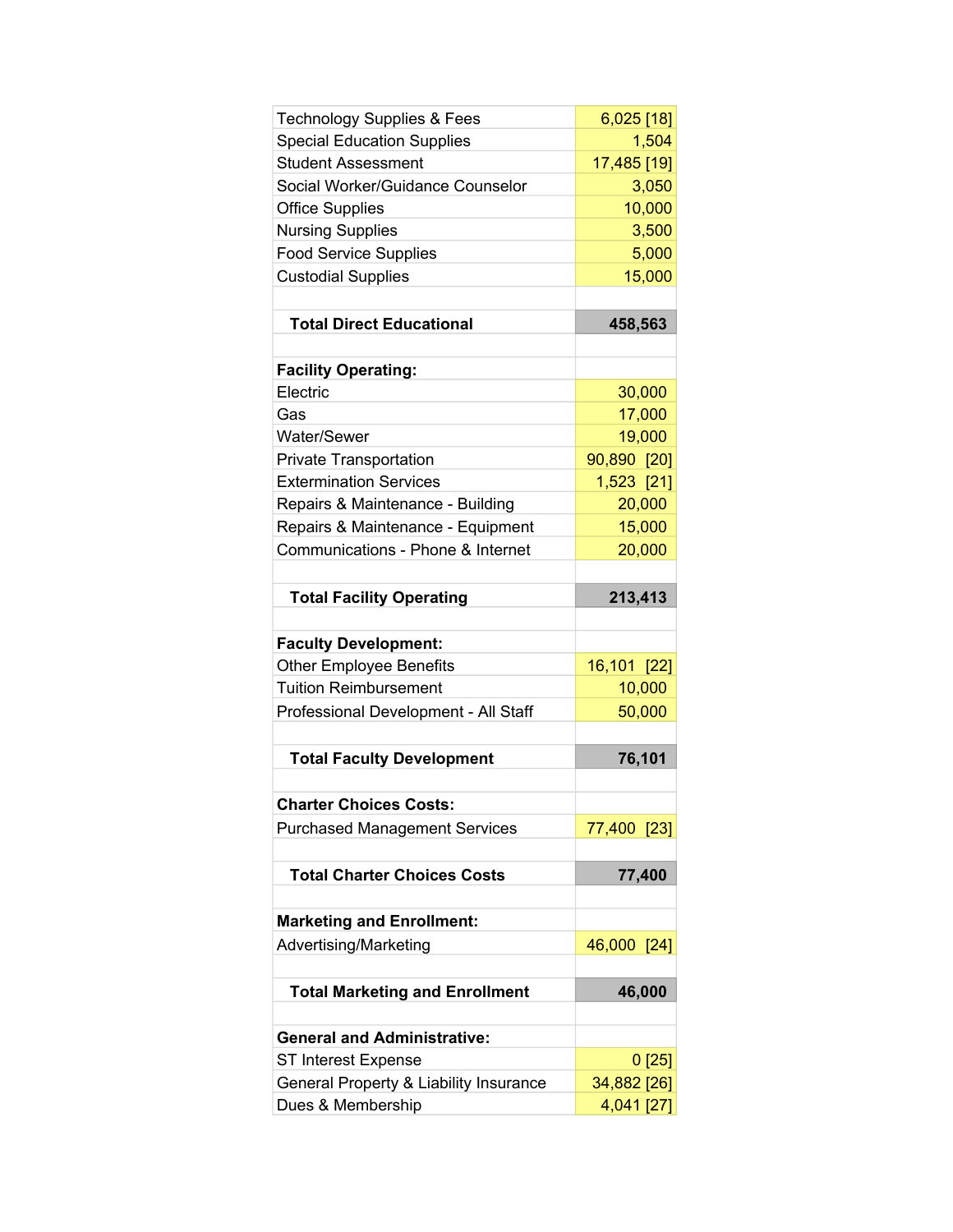| <b>Technology Supplies &amp; Fees</b>                       | $6,025$ [18]              |
|-------------------------------------------------------------|---------------------------|
| <b>Special Education Supplies</b>                           | 1,504                     |
| <b>Student Assessment</b>                                   | 17,485 [19]               |
| Social Worker/Guidance Counselor                            | 3,050                     |
| <b>Office Supplies</b>                                      | 10,000                    |
| <b>Nursing Supplies</b>                                     | 3,500                     |
| <b>Food Service Supplies</b>                                | 5,000                     |
| <b>Custodial Supplies</b>                                   | 15,000                    |
|                                                             |                           |
| <b>Total Direct Educational</b>                             | 458,563                   |
|                                                             |                           |
| <b>Facility Operating:</b>                                  |                           |
| Electric                                                    | 30,000                    |
| Gas                                                         | 17,000                    |
| Water/Sewer                                                 | 19,000                    |
| <b>Private Transportation</b>                               | 90,890 [20]               |
| <b>Extermination Services</b>                               | 1,523 [21]                |
| Repairs & Maintenance - Building                            | 20,000                    |
| Repairs & Maintenance - Equipment                           | 15,000                    |
| Communications - Phone & Internet                           | 20,000                    |
|                                                             |                           |
| <b>Total Facility Operating</b>                             | 213,413                   |
|                                                             |                           |
| <b>Faculty Development:</b>                                 |                           |
| <b>Other Employee Benefits</b>                              | 16,101 [22]               |
| <b>Tuition Reimbursement</b>                                | 10,000                    |
| Professional Development - All Staff                        | 50,000                    |
|                                                             |                           |
| <b>Total Faculty Development</b>                            | 76,101                    |
|                                                             |                           |
| <b>Charter Choices Costs:</b>                               |                           |
| <b>Purchased Management Services</b>                        | 77,400 [23]               |
|                                                             |                           |
| <b>Total Charter Choices Costs</b>                          | 77,400                    |
|                                                             |                           |
| <b>Marketing and Enrollment:</b>                            |                           |
| Advertising/Marketing                                       | 46,000 [24]               |
|                                                             |                           |
| <b>Total Marketing and Enrollment</b>                       | 46,000                    |
|                                                             |                           |
| <b>General and Administrative:</b>                          |                           |
| ST Interest Expense                                         |                           |
|                                                             | 0[25]                     |
| General Property & Liability Insurance<br>Dues & Membership | 34,882 [26]<br>4,041 [27] |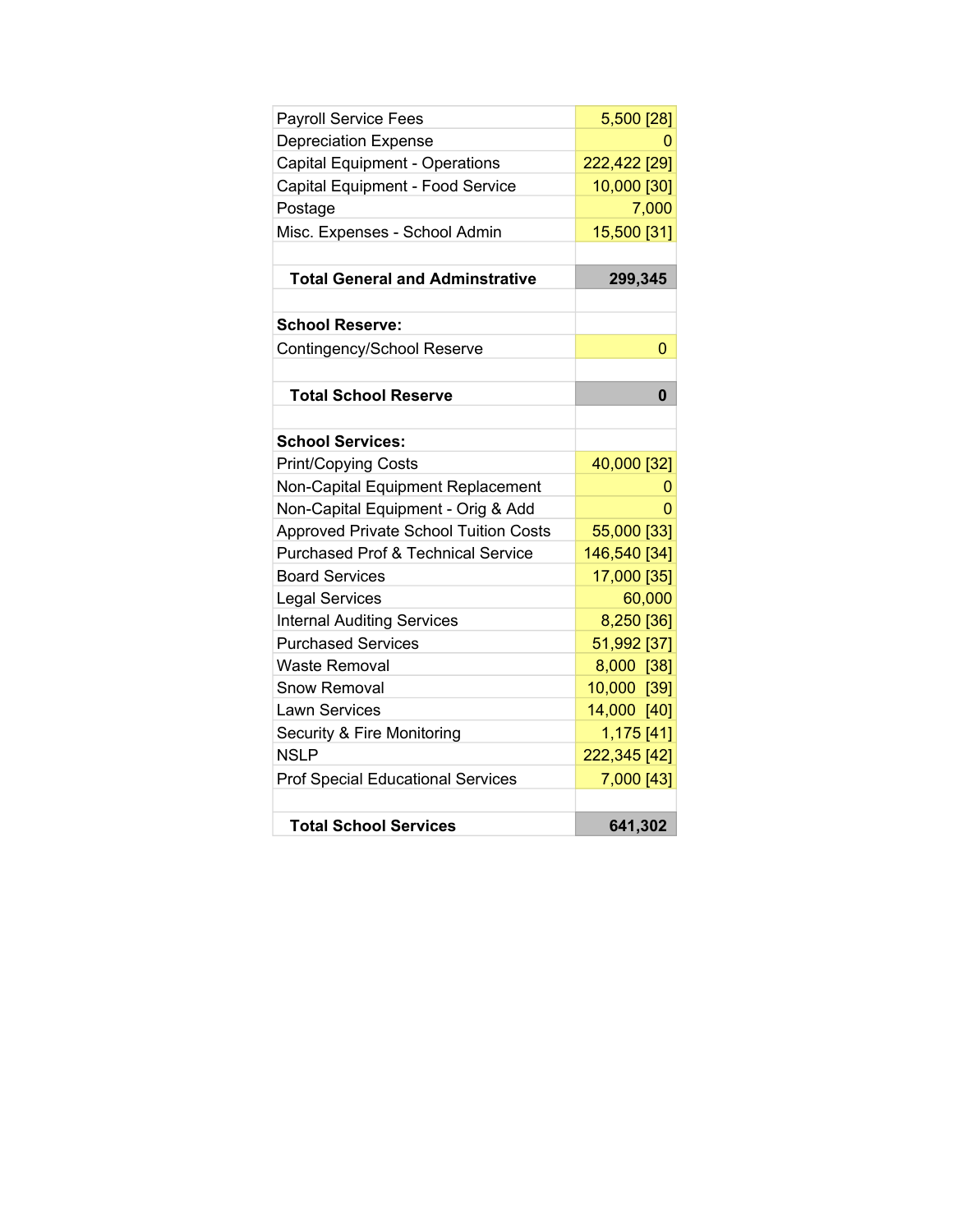| <b>Payroll Service Fees</b>                   | 5,500 [28]   |
|-----------------------------------------------|--------------|
| <b>Depreciation Expense</b>                   | o            |
| <b>Capital Equipment - Operations</b>         | 222,422 [29] |
| Capital Equipment - Food Service              | 10,000 [30]  |
| Postage                                       | 7,000        |
| Misc. Expenses - School Admin                 | 15,500 [31]  |
| <b>Total General and Adminstrative</b>        | 299,345      |
| <b>School Reserve:</b>                        |              |
| Contingency/School Reserve                    | 0            |
| <b>Total School Reserve</b>                   | 0            |
| <b>School Services:</b>                       |              |
| <b>Print/Copying Costs</b>                    | 40,000 [32]  |
| Non-Capital Equipment Replacement             | 0            |
| Non-Capital Equipment - Orig & Add            | 0            |
| <b>Approved Private School Tuition Costs</b>  | 55,000 [33]  |
| <b>Purchased Prof &amp; Technical Service</b> | 146,540 [34] |
| <b>Board Services</b>                         | 17,000 [35]  |
| <b>Legal Services</b>                         | 60,000       |
| <b>Internal Auditing Services</b>             | 8,250 [36]   |
| <b>Purchased Services</b>                     | 51,992 [37]  |
| Waste Removal                                 | 8,000 [38]   |
| <b>Snow Removal</b>                           | 10,000 [39]  |
| <b>Lawn Services</b>                          | 14,000 [40]  |
| Security & Fire Monitoring                    | 1,175 [41]   |
| <b>NSLP</b>                                   | 222,345 [42] |
| <b>Prof Special Educational Services</b>      | 7,000 [43]   |
| <b>Total School Services</b>                  | 641,302      |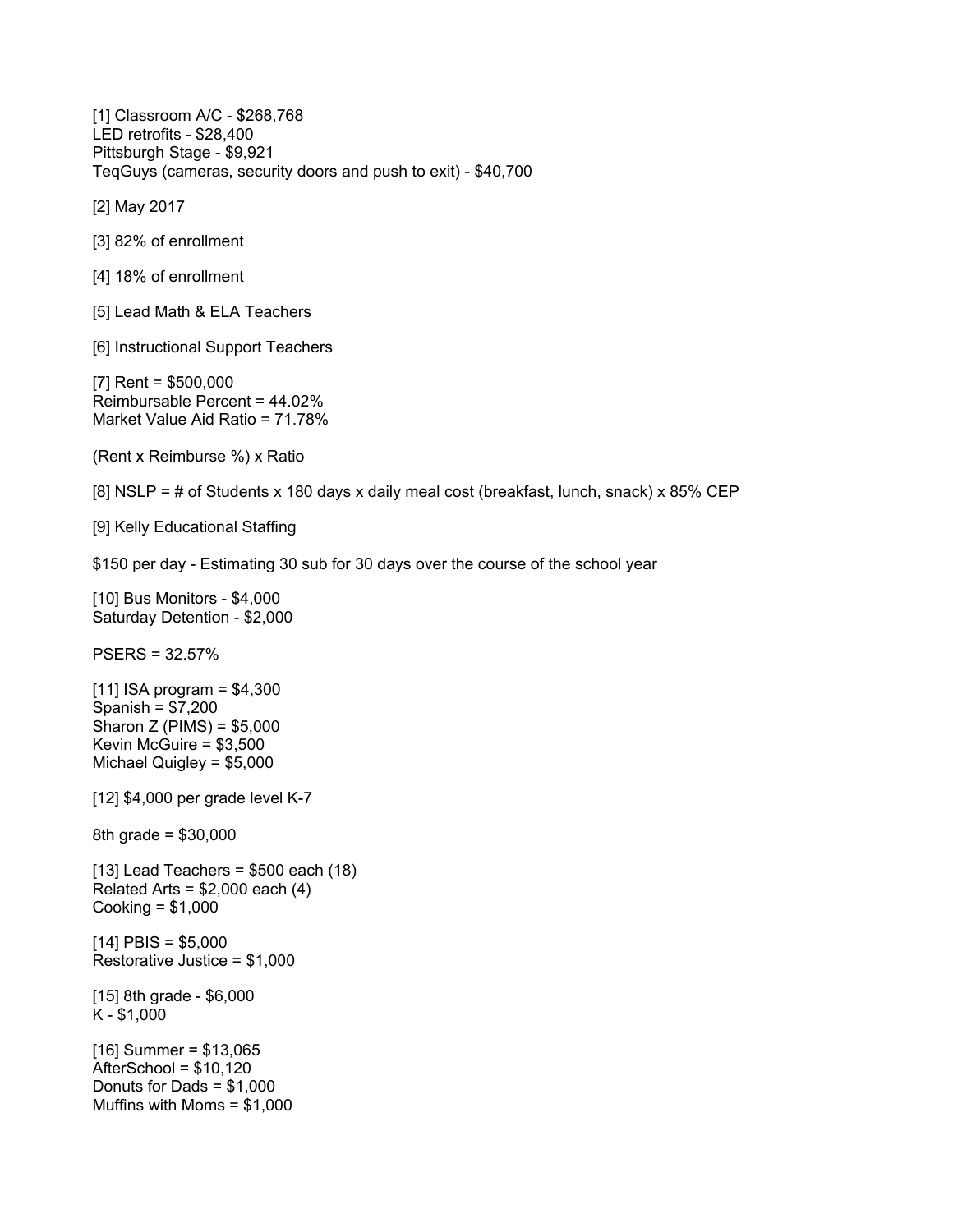[1] Classroom A/C - \$268,768 LED retrofits - \$28,400 Pittsburgh Stage - \$9,921 TeqGuys (cameras, security doors and push to exit) - \$40,700

[2] May 2017

[3] 82% of enrollment

[4] 18% of enrollment

[5] Lead Math & ELA Teachers

[6] Instructional Support Teachers

[7] Rent = \$500,000 Reimbursable Percent = 44.02% Market Value Aid Ratio = 71.78%

(Rent x Reimburse %) x Ratio

[8] NSLP =  $\#$  of Students x 180 days x daily meal cost (breakfast, lunch, snack) x 85% CEP

[9] Kelly Educational Staffing

\$150 per day - Estimating 30 sub for 30 days over the course of the school year

[10] Bus Monitors - \$4,000 Saturday Detention - \$2,000

PSERS = 32.57%

[11] ISA program = \$4,300 Spanish = \$7,200 Sharon Z (PIMS) = \$5,000 Kevin McGuire = \$3,500 Michael Quigley = \$5,000

[12] \$4,000 per grade level K-7

8th grade = \$30,000

 $[13]$  Lead Teachers = \$500 each  $(18)$ Related Arts =  $$2,000$  each  $(4)$ Cooking = \$1,000

 $[14]$  PBIS = \$5,000 Restorative Justice = \$1,000

[15] 8th grade - \$6,000 K - \$1,000

 $[16]$  Summer = \$13,065 AfterSchool = \$10,120 Donuts for Dads = \$1,000 Muffins with Moms = \$1,000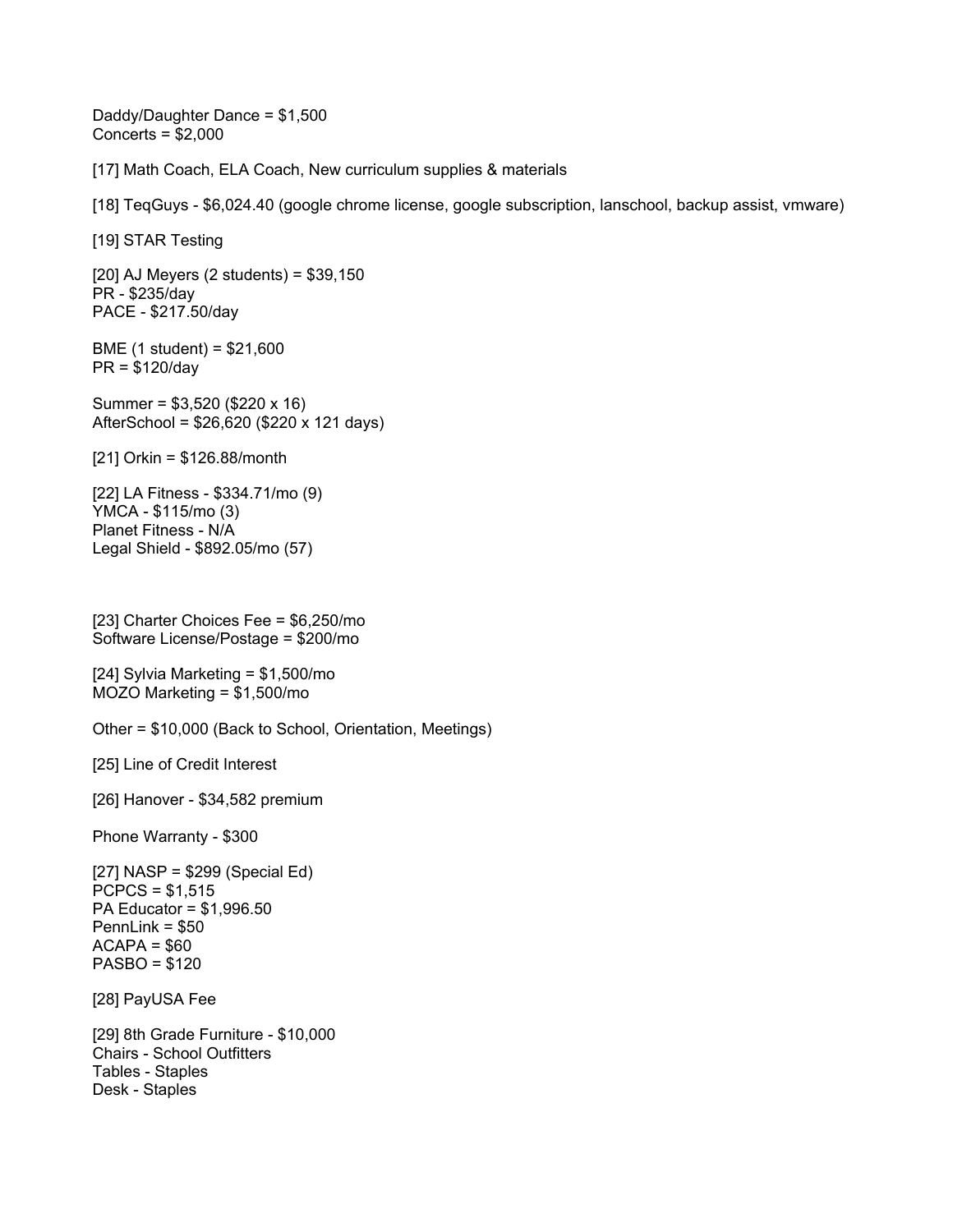Daddy/Daughter Dance = \$1,500 Concerts = \$2,000

[17] Math Coach, ELA Coach, New curriculum supplies & materials

[18] TeqGuys - \$6,024.40 (google chrome license, google subscription, lanschool, backup assist, vmware)

[19] STAR Testing

[20] AJ Meyers (2 students) = \$39,150 PR - \$235/day PACE - \$217.50/day

BME (1 student) = \$21,600 PR = \$120/day

Summer = \$3,520 (\$220 x 16) AfterSchool = \$26,620 (\$220 x 121 days)

[21] Orkin = \$126.88/month

[22] LA Fitness - \$334.71/mo (9) YMCA - \$115/mo (3) Planet Fitness - N/A Legal Shield - \$892.05/mo (57)

[23] Charter Choices Fee = \$6,250/mo Software License/Postage = \$200/mo

[24] Sylvia Marketing = \$1,500/mo MOZO Marketing = \$1,500/mo

Other = \$10,000 (Back to School, Orientation, Meetings)

[25] Line of Credit Interest

[26] Hanover - \$34,582 premium

Phone Warranty - \$300

[27] NASP = \$299 (Special Ed)  $PCPCS = $1,515$ PA Educator = \$1,996.50 PennLink = \$50  $ACAPA = $60$ PASBO = \$120

[28] PayUSA Fee

[29] 8th Grade Furniture - \$10,000 Chairs - School Outfitters Tables - Staples Desk - Staples